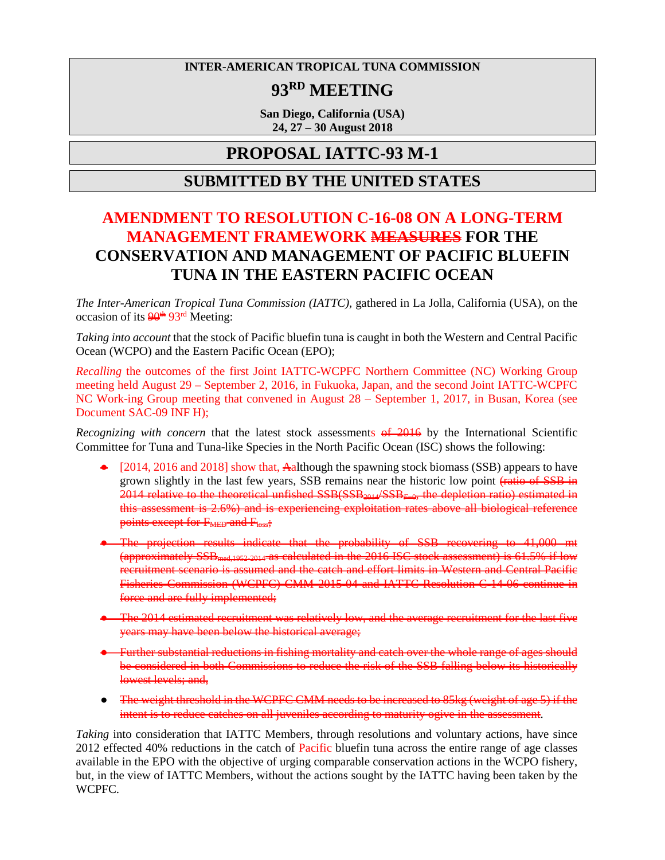### **INTER-AMERICAN TROPICAL TUNA COMMISSION**

# **93RD MEETING**

**San Diego, California (USA) 24, 27 – 30 August 2018**

## **PROPOSAL IATTC-93 M-1**

### **SUBMITTED BY THE UNITED STATES**

# **AMENDMENT TO RESOLUTION C-16-08 ON A LONG-TERM MANAGEMENT FRAMEWORK MEASURES FOR THE CONSERVATION AND MANAGEMENT OF PACIFIC BLUEFIN TUNA IN THE EASTERN PACIFIC OCEAN**

*The Inter-American Tropical Tuna Commission (IATTC),* gathered in La Jolla, California (USA), on the occasion of its  $\frac{90^{\text{th}}}{93^{\text{rd}}}$  Meeting:

*Taking into account* that the stock of Pacific bluefin tuna is caught in both the Western and Central Pacific Ocean (WCPO) and the Eastern Pacific Ocean (EPO);

*Recalling* the outcomes of the first Joint IATTC-WCPFC Northern Committee (NC) Working Group meeting held August 29 – September 2, 2016, in Fukuoka, Japan, and the second Joint IATTC-WCPFC NC Work-ing Group meeting that convened in August 28 – September 1, 2017, in Busan, Korea (see Document SAC-09 INF H);

*Recognizing with concern* that the latest stock assessments  $\theta$   $\neq$  2016 by the International Scientific Committee for Tuna and Tuna-like Species in the North Pacific Ocean (ISC) shows the following:

- $\triangleq$  [2014, 2016 and 2018] show that, A although the spawning stock biomass (SSB) appears to have grown slightly in the last few years, SSB remains near the historic low point  $\frac{\text{ratio of SSB in}}{\text{ratio of SSB}}$ 2014 relative to the theoretical unfished SSB(SSB2014/SSB*F*=0, the depletion ratio) estimated in this assessment is 2.6%) and is experiencing exploitation rates above all biological reference points except for F<sub>MED</sub> and Floss;
- The projection results indicate that the probability of SSB recovering to 41,000 mt (approximately SSBmed,1952-2014 as calculated in the 2016 ISC stock assessment) is 61.5% if low recruitment scenario is assumed and the catch and effort limits in Western and Central Pacific Fisheries Commission (WCPFC) CMM 2015-04 and IATTC Resolution C-14-06 continue in force and are fully implemented;
- The 2014 estimated recruitment was relatively low, and the average recruitment for the last five years may have been below the historical average;
- Further substantial reductions in fishing mortality and catch over the whole range of ages should be considered in both Commissions to reduce the risk of the SSB falling below its historically lowest levels; and,
- The weight threshold in the WCPFC CMM needs to be increased to 85kg (weight of age 5) if the intent is to reduce catches on all juveniles according to maturity ogive in the assessment.

*Taking* into consideration that IATTC Members, through resolutions and voluntary actions, have since 2012 effected 40% reductions in the catch of Pacific bluefin tuna across the entire range of age classes available in the EPO with the objective of urging comparable conservation actions in the WCPO fishery, but, in the view of IATTC Members, without the actions sought by the IATTC having been taken by the WCPFC.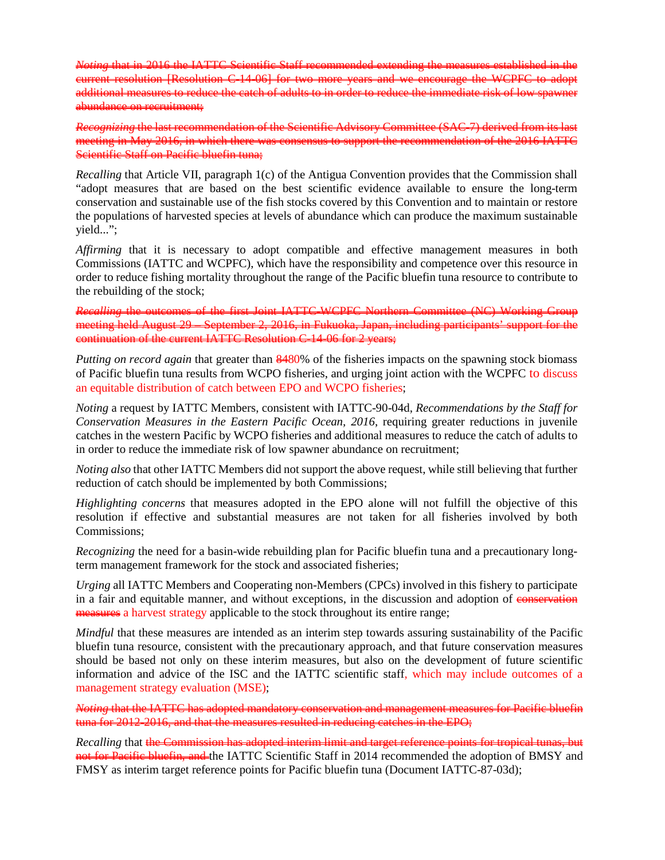*Noting* that in 2016 the IATTC Scientific Staff recommended extending the measures established in the current resolution [Resolution C-14-06] for two more years and we encourage the WCPFC additional measures to reduce the catch of adults to in order to reduce the immediate risk of low spawner abundance on recruitment;

*Recognizing* the last recommendation of the Scientific Advisory Committee (SAC-7) derived from its last  $meetine in May 2016$  in which there was consensus Scientific Staff on Pacific bluefin tuna;

*Recalling* that Article VII, paragraph 1(c) of the Antigua Convention provides that the Commission shall "adopt measures that are based on the best scientific evidence available to ensure the long-term conservation and sustainable use of the fish stocks covered by this Convention and to maintain or restore the populations of harvested species at levels of abundance which can produce the maximum sustainable yield...";

*Affirming* that it is necessary to adopt compatible and effective management measures in both Commissions (IATTC and WCPFC), which have the responsibility and competence over this resource in order to reduce fishing mortality throughout the range of the Pacific bluefin tuna resource to contribute to the rebuilding of the stock;

*Recalling* the outcomes of the first Joint IATTC-WCPFC Northern Committee (NC) Working Group meeting held August 29 – September 2, 2016, in Fukuoka, Japan, including participants' support for the continuation of the current IATTC Resolution C-14-06 for 2 years;

*Putting on record again* that greater than 8480% of the fisheries impacts on the spawning stock biomass of Pacific bluefin tuna results from WCPO fisheries, and urging joint action with the WCPFC to discuss an equitable distribution of catch between EPO and WCPO fisheries;

*Noting* a request by IATTC Members, consistent with IATTC-90-04d, *Recommendations by the Staff for Conservation Measures in the Eastern Pacific Ocean, 2016*, requiring greater reductions in juvenile catches in the western Pacific by WCPO fisheries and additional measures to reduce the catch of adults to in order to reduce the immediate risk of low spawner abundance on recruitment;

*Noting also* that other IATTC Members did not support the above request, while still believing that further reduction of catch should be implemented by both Commissions;

*Highlighting concerns* that measures adopted in the EPO alone will not fulfill the objective of this resolution if effective and substantial measures are not taken for all fisheries involved by both Commissions;

*Recognizing* the need for a basin-wide rebuilding plan for Pacific bluefin tuna and a precautionary longterm management framework for the stock and associated fisheries;

*Urging* all IATTC Members and Cooperating non-Members (CPCs) involved in this fishery to participate in a fair and equitable manner, and without exceptions, in the discussion and adoption of conservation measures a harvest strategy applicable to the stock throughout its entire range;

*Mindful* that these measures are intended as an interim step towards assuring sustainability of the Pacific bluefin tuna resource, consistent with the precautionary approach, and that future conservation measures should be based not only on these interim measures, but also on the development of future scientific information and advice of the ISC and the IATTC scientific staff, which may include outcomes of a management strategy evaluation (MSE);

that the IATTC has adopted mandatory conservation and management measures for Pacific bluefin tuna for 2012-2016, and that the measures resulted in reducing catches in the EPO;

*Recalling* that the Commission has adopted interim limit and target reference points for tropical tunas, but not for Pacific bluefin, and the IATTC Scientific Staff in 2014 recommended the adoption of BMSY and FMSY as interim target reference points for Pacific bluefin tuna (Document IATTC-87-03d);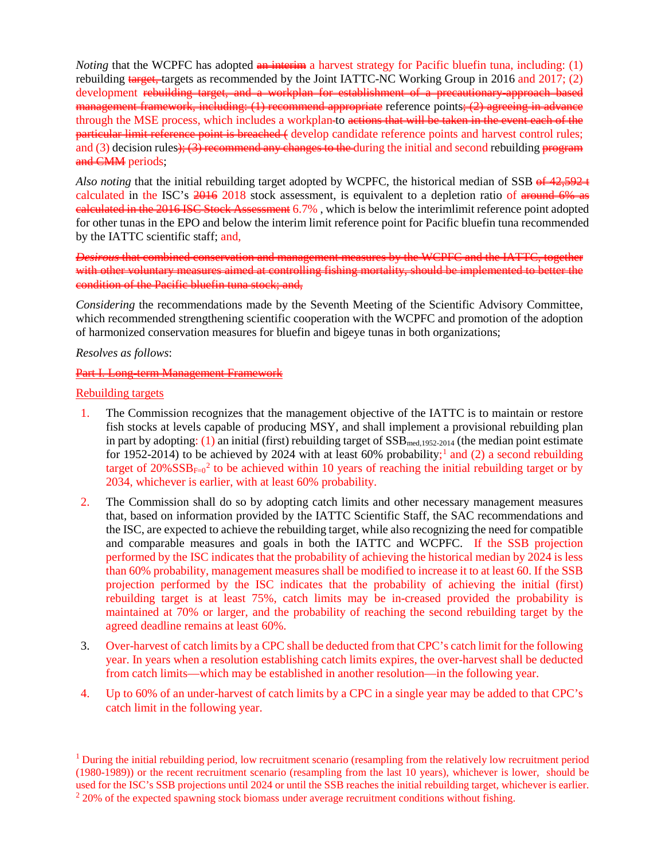*Noting* that the WCPFC has adopted **an interim** a harvest strategy for Pacific bluefin tuna, including: (1) rebuilding target, targets as recommended by the Joint IATTC-NC Working Group in 2016 and 2017; (2) development rebuilding target, and a workplan for establishment of a precautionary-approach based  $m$ anagement framework, including: (1) recommend appropriate reference points; (2) agreeing in advance through the MSE process, which includes a workplan-to actions that will be taken in the event each of the particular limit reference point is breached ( develop candidate reference points and harvest control rules; and (3) decision rules); (3) recommend any changes to the during the initial and second rebuilding program and CMM periods;

*Also noting* that the initial rebuilding target adopted by WCPFC, the historical median of SSB of  $42,592+$ calculated in the ISC's  $\frac{2016}{60}$  2018 stock assessment, is equivalent to a depletion ratio of around 6% as ealeulated in the 2016 ISC Stock Assessment 6.7%, which is below the interimlimit reference point adopted for other tunas in the EPO and below the interim limit reference point for Pacific bluefin tuna recommended by the IATTC scientific staff; and,

*Desirous* that combined conservation and management measures by the WCPFC and the IATTC, together with other voluntary measures aimed at controlling fishing mortality, should be implemented to better the condition of the Pacific bluefin tuna stock; and,

*Considering* the recommendations made by the Seventh Meeting of the Scientific Advisory Committee, which recommended strengthening scientific cooperation with the WCPFC and promotion of the adoption of harmonized conservation measures for bluefin and bigeye tunas in both organizations;

### *Resolves as follows*:

### Part I. Long-term Management Framew

### Rebuilding targets

- 1. The Commission recognizes that the management objective of the IATTC is to maintain or restore fish stocks at levels capable of producing MSY, and shall implement a provisional rebuilding plan in part by adopting: (1) an initial (first) rebuilding target of  $SSB_{med,1952-2014}$  (the median point estimate for [1](#page-2-0)952-2014) to be achieved by 2024 with at least 60% probability;<sup>1</sup> and (2) a second rebuilding target of  $20\% SSB<sub>F=0</sub><sup>2</sup>$  $20\% SSB<sub>F=0</sub><sup>2</sup>$  to be achieved within 10 years of reaching the initial rebuilding target or by 2034, whichever is earlier, with at least 60% probability.
- 2. The Commission shall do so by adopting catch limits and other necessary management measures that, based on information provided by the IATTC Scientific Staff, the SAC recommendations and the ISC, are expected to achieve the rebuilding target, while also recognizing the need for compatible and comparable measures and goals in both the IATTC and WCPFC. If the SSB projection performed by the ISC indicates that the probability of achieving the historical median by 2024 is less than 60% probability, management measures shall be modified to increase it to at least 60. If the SSB projection performed by the ISC indicates that the probability of achieving the initial (first) rebuilding target is at least 75%, catch limits may be in-creased provided the probability is maintained at 70% or larger, and the probability of reaching the second rebuilding target by the agreed deadline remains at least 60%.
- 3. Over-harvest of catch limits by a CPC shall be deducted from that CPC's catch limit for the following year. In years when a resolution establishing catch limits expires, the over-harvest shall be deducted from catch limits—which may be established in another resolution—in the following year.
- 4. Up to 60% of an under-harvest of catch limits by a CPC in a single year may be added to that CPC's catch limit in the following year.

<span id="page-2-1"></span><span id="page-2-0"></span> $<sup>1</sup>$  During the initial rebuilding period, low recruitment scenario (resampling from the relatively low recruitment period</sup> (1980-1989)) or the recent recruitment scenario (resampling from the last 10 years), whichever is lower, should be used for the ISC's SSB projections until 2024 or until the SSB reaches the initial rebuilding target, whichever is earlier. <sup>2</sup> 20% of the expected spawning stock biomass under average recruitment conditions without fishing.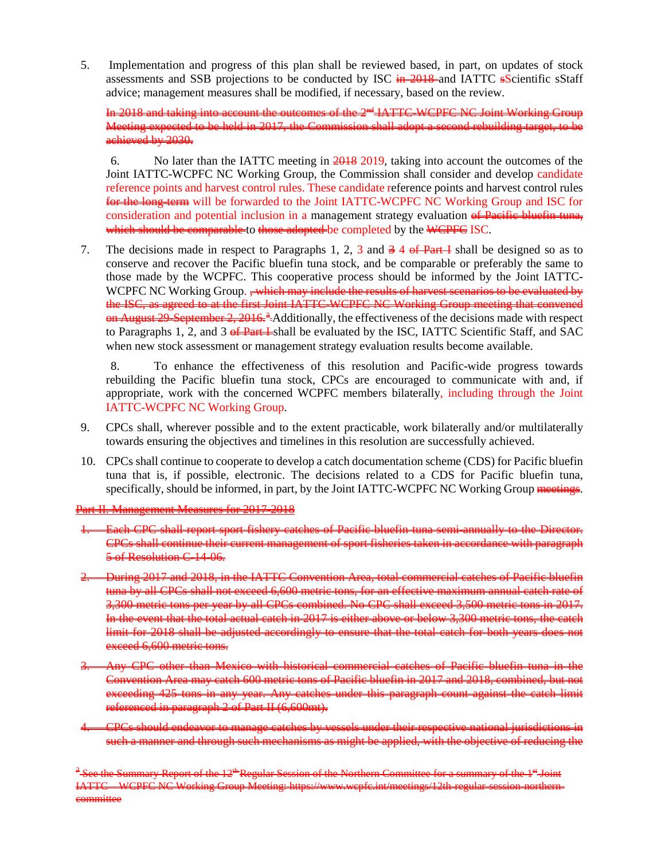5. Implementation and progress of this plan shall be reviewed based, in part, on updates of stock assessments and SSB projections to be conducted by ISC in 2018 and IATTC sScientific sStaff advice; management measures shall be modified, if necessary, based on the review.

In 2018 and taking into account the outcomes of the 2<sup>nd</sup> IATTC-WCPFC NC Joint Working Group Meeting expected to be held in 2017, the Commission shall adopt a second rebuilding target, to be achieved by 2030.

6. No later than the IATTC meeting in 2018 2019, taking into account the outcomes of the Joint IATTC-WCPFC NC Working Group, the Commission shall consider and develop candidate reference points and harvest control rules. These candidate reference points and harvest control rules for the long-term will be forwarded to the Joint IATTC-WCPFC NC Working Group and ISC for consideration and potential inclusion in a management strategy evaluation of Pacific bluefin tuna, which should be comparable to those adopted be completed by the WCPFC ISC.

7. The decisions made in respect to Paragraphs 1, 2, 3 and  $\frac{3}{4}$  of Part I shall be designed so as to conserve and recover the Pacific bluefin tuna stock, and be comparable or preferably the same to those made by the WCPFC. This cooperative process should be informed by the Joint IATTC-WCPFC NC Working Group. <del>, which may include the results of harvest scenarios to be evaluated by</del> the ISC, as agreed to at the first Joint IATTC-WCPFC NC Working Group meeting that convened  $\theta$  August 29-September 2, 2016.<sup>[3](#page-3-0)</sup> Additionally, the effectiveness of the decisions made with respect to Paragraphs 1, 2, and 3  $\oplus$  Part I-shall be evaluated by the ISC, IATTC Scientific Staff, and SAC when new stock assessment or management strategy evaluation results become available.

8. To enhance the effectiveness of this resolution and Pacific-wide progress towards rebuilding the Pacific bluefin tuna stock, CPCs are encouraged to communicate with and, if appropriate, work with the concerned WCPFC members bilaterally, including through the Joint IATTC-WCPFC NC Working Group.

- 9. CPCs shall, wherever possible and to the extent practicable, work bilaterally and/or multilaterally towards ensuring the objectives and timelines in this resolution are successfully achieved.
- 10. CPCs shall continue to cooperate to develop a catch documentation scheme (CDS) for Pacific bluefin tuna that is, if possible, electronic. The decisions related to a CDS for Pacific bluefin tuna, specifically, should be informed, in part, by the Joint IATTC-WCPFC NC Working Group meetings.

Part II. Management Measures for 2017-2018

- **1. Each CPC shall report sport fishery catches of Pacific bluefin tuna semi-annually to the Director.** CPCs shall continue their current management of sport fisheries taken in accordance with paragraph 5 of Resolution C-14-06.
- 2. During 2017 and 2018, in the IATTC Convention Area, total commercial catches of Pacific bluefin tuna by all CPCs shall not exceed 6,600 metric tons, for an effective maximum annual catch rate of 3,300 metric tons per year by all CPCs combined. No CPC shall exceed 3,500 metric tons in 2017. In the event that the total actual catch in 2017 is either above or below 3,300 metric tons, the catch limit for 2018 shall be adjusted accordingly to ensure that the total catch for both years does not exceed 6,600 metric tons.
- Any CPC other than Mexico with historical commercial catches of Pacific bluefin tuna in Convention Area may catch 600 metric tons of Pacific bluefin in 2017 and 2018, combined, but not exceeding 425 tons in any year. Any catches under this paragraph count against the catch limit referenced in paragraph 2 of Part II (6,600mt).
- 4. CPCs should endeavor to manage catches by vessels under their respective national jurisdictions in such a manner and through such mechanisms as might be applied, with the objective of reducing the

<span id="page-3-0"></span>See the Summary Report of the 12<sup>th</sup> Regular Session of the Northern Committee for a summary of the 1<sup>st</sup> Joint IATTC – WCPFC NC Working Group Meeting: https://www.wepfe.int/meetings/12th-regular-session-northern mmittee